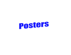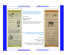Posters and the contract of the contract of the contract of the contract of the contract of the contract of the

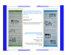## Posters and the contract of the contract of the contract of the contract of the contract of the contract of the



Page 28 **Documentation & Resource Center**